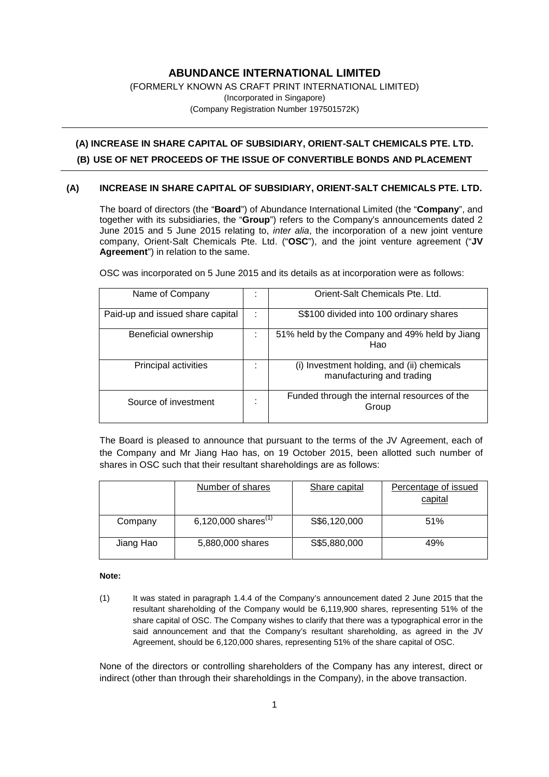# **ABUNDANCE INTERNATIONAL LIMITED**

#### (FORMERLY KNOWN AS CRAFT PRINT INTERNATIONAL LIMITED) (Incorporated in Singapore) (Company Registration Number 197501572K)

# **(A) INCREASE IN SHARE CAPITAL OF SUBSIDIARY, ORIENT-SALT CHEMICALS PTE. LTD. (B) USE OF NET PROCEEDS OF THE ISSUE OF CONVERTIBLE BONDS AND PLACEMENT**

## **(A) INCREASE IN SHARE CAPITAL OF SUBSIDIARY, ORIENT-SALT CHEMICALS PTE. LTD.**

The board of directors (the "**Board**") of Abundance International Limited (the "**Company**", and together with its subsidiaries, the "**Group**") refers to the Company's announcements dated 2 June 2015 and 5 June 2015 relating to, *inter alia*, the incorporation of a new joint venture company, Orient-Salt Chemicals Pte. Ltd. ("**OSC**"), and the joint venture agreement ("**JV Agreement**") in relation to the same.

Name of Company : | Orient-Salt Chemicals Pte. Ltd. Paid-up and issued share capital : S\$100 divided into 100 ordinary shares Beneficial ownership : 51% held by the Company and 49% held by Jiang Hao Principal activities  $\vert$ :  $\vert$  (i) Investment holding, and (ii) chemicals manufacturing and trading Source of investment  $\vert$  : Funded through the internal resources of the Group

OSC was incorporated on 5 June 2015 and its details as at incorporation were as follows:

The Board is pleased to announce that pursuant to the terms of the JV Agreement, each of the Company and Mr Jiang Hao has, on 19 October 2015, been allotted such number of shares in OSC such that their resultant shareholdings are as follows:

|           | Number of shares                | Share capital | Percentage of issued<br>capital |
|-----------|---------------------------------|---------------|---------------------------------|
| Company   | 6,120,000 shares <sup>(1)</sup> | S\$6,120,000  | 51%                             |
| Jiang Hao | 5,880,000 shares                | S\$5,880,000  | 49%                             |

#### **Note:**

(1) It was stated in paragraph 1.4.4 of the Company's announcement dated 2 June 2015 that the resultant shareholding of the Company would be 6,119,900 shares, representing 51% of the share capital of OSC. The Company wishes to clarify that there was a typographical error in the said announcement and that the Company's resultant shareholding, as agreed in the JV Agreement, should be 6,120,000 shares, representing 51% of the share capital of OSC.

None of the directors or controlling shareholders of the Company has any interest, direct or indirect (other than through their shareholdings in the Company), in the above transaction.